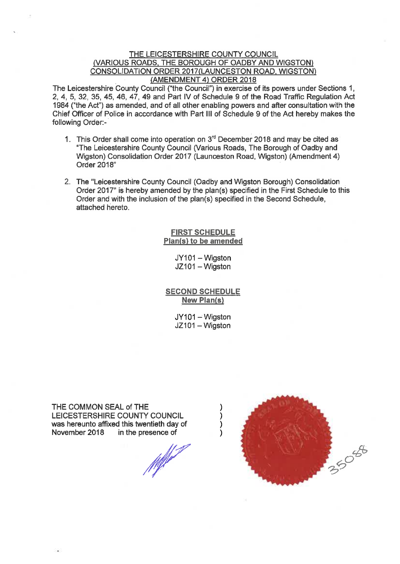### THE LEICESTERSHIRE COUNTY COUNCIL (VARIOUS ROADS, THE BOROUGH OF OADBY AND WIGSTON) CONSOLIDATION ORDER 2017(LAUNCESTON ROAD, WIGSTON) (AMENDMENT 4) ORDER 2018

The Leicestershire County Council ("the Council") in exercise of its powers under Sections 1, 2, 4, 5, 32, 35, 45, 46, 47, 49 and Part IV of Schedule 9 of the Road Traffic Regulation Act 1984 ("the Act") as amended, and of all other enabling powers and after consultation with the Chief Officer of Police in accordance with Part III of Schedule 9 of the Act hereby makes the following Order:-

- 1. This Order shall come into operation on 3<sup>rd</sup> December 2018 and may be cited as "The Leicestershire County Council (Various Roads, The Borough of Oadby and Wigston) Consolidation Order 2017 (Launceston Road, Wigston) (Amendment 4) Order 2018"
- 2. The "Leicestershire County Council (Oadby and Wigston Borough) Consolidation Order 2017" is hereby amended by the plan(s) specified in the First Schedule to this Order and with the inclusion of the plan(s) specified in the Second Schedule, attached hereto.

### **FIRST SCHEDULE** Plan(s) to be amended

JY101 - Wiaston JZ101 - Wiaston

**SECOND SCHEDULE New Plan(s)** 

> JY101 - Wigston JZ101 - Wigston

THE COMMON SEAL of THE LEICESTERSHIRE COUNTY COUNCIL was hereunto affixed this twentieth day of November 2018 in the presence of

**March 1899** 

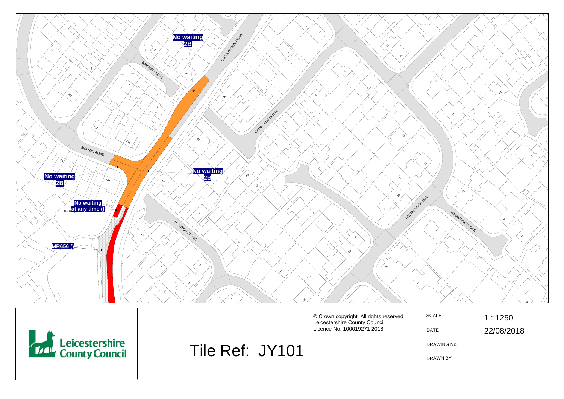

DRAWN BY

Tile Ref: JY101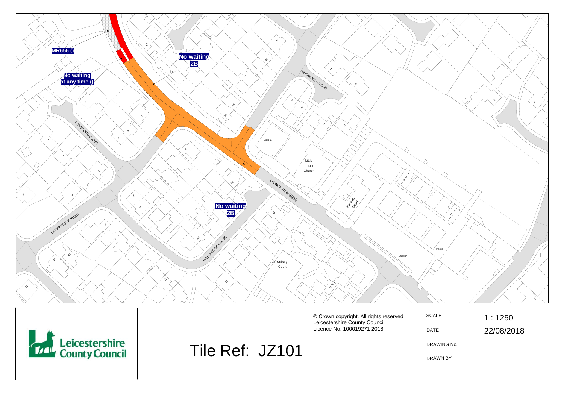

|                                                   |                 | © Crown copyright. All rights reserved<br>Leicestershire County Council<br>Licence No. 100019271 2018 | SCALE<br><b>DATE</b> | 1:1250<br>22/08/2018 |
|---------------------------------------------------|-----------------|-------------------------------------------------------------------------------------------------------|----------------------|----------------------|
| <b>Example 3</b> Leicestershire<br>County Council | Tile Ref: JZ101 |                                                                                                       | DRAWING No.          |                      |
|                                                   |                 |                                                                                                       | DRAWN BY             |                      |
|                                                   |                 |                                                                                                       |                      |                      |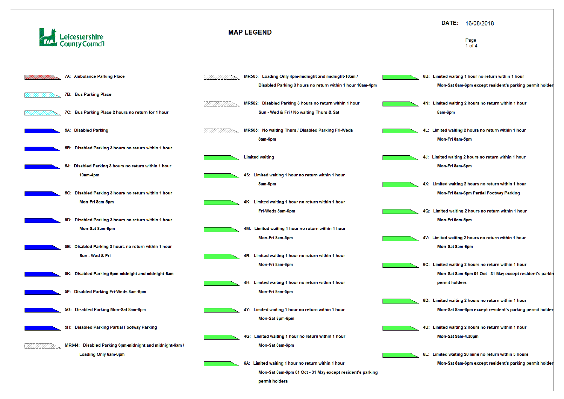

| 7A: Ambulance Parking Place<br>MR585: Loading Only 4pm-midnight and midnight-10am /<br>Disabled Parking 3 hours no return within 1 hour 10am-4pm          |    |
|-----------------------------------------------------------------------------------------------------------------------------------------------------------|----|
|                                                                                                                                                           |    |
| 7B: Bus Parking Place                                                                                                                                     |    |
| MR582: Disabled Parking 3 hours no return within 1 hour<br>7C: Bus Parking Place 2 hours no return for 1 hour<br>Sun - Wed & Fri / No waiting Thurs & Sat |    |
| 5A: Disabled Parking<br>MR505: No waiting Thurs / Disabled Parking Fri-Weds<br>8am-6pm                                                                    |    |
| 5B: Disabled Parking 3 hours no return within 1 hour                                                                                                      |    |
| <b>Limited waiting</b><br>5J: Disabled Parking 3 hours no return within 1 hour                                                                            |    |
| 4S: Limited waiting 1 hour no return within 1 hour<br>10am-4pm                                                                                            |    |
| 8am-6pm<br>5C: Disabled Parking 3 hours no return within 1 hour                                                                                           |    |
| 4K: Limited waiting 1 hour no return within 1 hour<br>Mon-Fri 8am-5pm                                                                                     |    |
| Fri-Weds 8am-6pm<br>5D: Disabled Parking 3 hours no return within 1 hour                                                                                  |    |
| 4M: Limited waiting 1 hour no return within 1 hour<br>Mon-Sat 8am-6pm                                                                                     |    |
| Mon-Fri 8am-5pm<br>Disabled Parking 3 hours no return within 1 hour<br>5E:                                                                                |    |
| Sun - Wed & Fri<br>4R: Limited waiting 1 hour no return within 1 hour                                                                                     |    |
| Mon-Fri 8am-6pm<br>5K: Disabled Parking 6pm-midnight and midnight-6am                                                                                     | 60 |
| 4H: Limited waiting 1 hour no return within 1 hour                                                                                                        |    |
| 5F: Disabled Parking Fri-Weds 8am-6pm<br>Mon-Fri 9am-5pm                                                                                                  |    |
| 5G: Disabled Parking Mon-Sat 8am-6pm<br>4Y: Limited waiting 1 hour no return within 1 hour                                                                | 6I |
| Mon-Sat 3pm-6pm                                                                                                                                           |    |
| 5H: Disabled Parking Partial Footway Parking<br>4G: Limited waiting 1 hour no return within 1 hour                                                        | 41 |
| MR644: Disabled Parking 6pm-midnight and midnight-6am /<br>Mon-Sat 8am-6pm                                                                                |    |
| Loading Only 6am-6pm                                                                                                                                      | 61 |
| 6A: Limited waiting 1 hour no return within 1 hour                                                                                                        |    |
| Mon-Sat 8am-6pm 01 Oct - 31 May except resident's parking<br>permit holders                                                                               |    |

# DATE: 16/08/2018

#### Page  $1$  of  $4$

- B: Limited waiting 1 hour no return within 1 hour Mon-Sat 8am-6pm except resident's parking permit holder
- N: Limited waiting 2 hours no return within 1 hour 8am-6pm
- L: Limited waiting 2 hours no return within 1 hour Mon-Fri 8am-5pm
- J: Limited waiting 2 hours no return within 1 hour Mon-Fri 8am-6pm
- X: Limited waiting 2 hours no return within 1 hour Mon-Fri 8am-6pm Partial Footway Parking
- Q: Limited waiting 2 hours no return within 1 hour Mon-Fri 9am-5pm
- V: Limited waiting 2 hours no return within 1 hour Mon-Sat 8am-6pm
- C: Limited waiting 2 hours no return within 1 hour Mon-Sat 8am-6pm 01 Oct - 31 May except resident's parkin permit holders
- D: Limited waiting 2 hours no return within 1 hour Mon-Sat 8am-6pm except resident's parking permit holder
- U: Limited waiting 2 hours no return within 1 hour Mon-Sat 9am-4.30pm
- E: Limited waiting 20 mins no return within 3 hours Mon-Sat 8am-6pm except resident's parking permit holder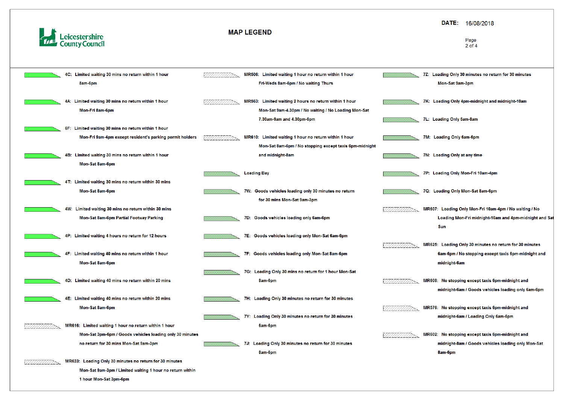

| 4C: Limited waiting 30 mins no return within 1 hour      |                                                                                                                                                                                                                                                                                                                                                                                                                                                                                                                                                       | MR506: Limited waiting 1 hour no return within 1 hour   |                                                                                                                                                                                                                                                                                                                                                                      |    |
|----------------------------------------------------------|-------------------------------------------------------------------------------------------------------------------------------------------------------------------------------------------------------------------------------------------------------------------------------------------------------------------------------------------------------------------------------------------------------------------------------------------------------------------------------------------------------------------------------------------------------|---------------------------------------------------------|----------------------------------------------------------------------------------------------------------------------------------------------------------------------------------------------------------------------------------------------------------------------------------------------------------------------------------------------------------------------|----|
| 8am-6pm                                                  |                                                                                                                                                                                                                                                                                                                                                                                                                                                                                                                                                       | Fri-Weds 8am-6pm / No waiting Thurs                     |                                                                                                                                                                                                                                                                                                                                                                      |    |
|                                                          |                                                                                                                                                                                                                                                                                                                                                                                                                                                                                                                                                       |                                                         |                                                                                                                                                                                                                                                                                                                                                                      |    |
| 4A: Limited waiting 30 mins no return within 1 hour      |                                                                                                                                                                                                                                                                                                                                                                                                                                                                                                                                                       | MR563: Limited waiting 2 hours no return within 1 hour  |                                                                                                                                                                                                                                                                                                                                                                      |    |
| Mon-Fri 8am-6pm                                          |                                                                                                                                                                                                                                                                                                                                                                                                                                                                                                                                                       | Mon-Sat 9am-4.30pm / No waiting / No Loading Mon-Sat    |                                                                                                                                                                                                                                                                                                                                                                      |    |
|                                                          |                                                                                                                                                                                                                                                                                                                                                                                                                                                                                                                                                       | 7.30am-9am and 4.30pm-6pm                               |                                                                                                                                                                                                                                                                                                                                                                      | 71 |
| 6F: Limited waiting 30 mins no return within 1 hour      |                                                                                                                                                                                                                                                                                                                                                                                                                                                                                                                                                       |                                                         |                                                                                                                                                                                                                                                                                                                                                                      |    |
| Mon-Fri 9am-4pm except resident's parking permit holders |                                                                                                                                                                                                                                                                                                                                                                                                                                                                                                                                                       | MR610: Limited waiting 1 hour no return within 1 hour   |                                                                                                                                                                                                                                                                                                                                                                      |    |
|                                                          |                                                                                                                                                                                                                                                                                                                                                                                                                                                                                                                                                       | Mon-Sat 8am-6pm / No stopping except taxis 6pm-midnight |                                                                                                                                                                                                                                                                                                                                                                      |    |
| Limited waiting 30 mins no return within 1 hour<br>4B:   |                                                                                                                                                                                                                                                                                                                                                                                                                                                                                                                                                       | and midnight-8am                                        |                                                                                                                                                                                                                                                                                                                                                                      | 71 |
| Mon-Sat 8am-6pm                                          |                                                                                                                                                                                                                                                                                                                                                                                                                                                                                                                                                       |                                                         |                                                                                                                                                                                                                                                                                                                                                                      |    |
|                                                          |                                                                                                                                                                                                                                                                                                                                                                                                                                                                                                                                                       | <b>Loading Bay</b>                                      |                                                                                                                                                                                                                                                                                                                                                                      | 71 |
| 4T: Limited waiting 30 mins no return within 30 mins     |                                                                                                                                                                                                                                                                                                                                                                                                                                                                                                                                                       |                                                         |                                                                                                                                                                                                                                                                                                                                                                      |    |
| Mon-Sat 8am-6pm                                          |                                                                                                                                                                                                                                                                                                                                                                                                                                                                                                                                                       | 7W: Goods vehicles loading only 30 minutes no return    |                                                                                                                                                                                                                                                                                                                                                                      | 70 |
|                                                          |                                                                                                                                                                                                                                                                                                                                                                                                                                                                                                                                                       | for 30 mins Mon-Sat 9am-3pm                             |                                                                                                                                                                                                                                                                                                                                                                      |    |
| 4W: Limited waiting 30 mins no return within 30 mins     |                                                                                                                                                                                                                                                                                                                                                                                                                                                                                                                                                       |                                                         |                                                                                                                                                                                                                                                                                                                                                                      |    |
| Mon-Sat 8am-6pm Partial Footway Parking                  |                                                                                                                                                                                                                                                                                                                                                                                                                                                                                                                                                       | 7D: Goods vehicles loading only 6am-6pm                 |                                                                                                                                                                                                                                                                                                                                                                      |    |
|                                                          |                                                                                                                                                                                                                                                                                                                                                                                                                                                                                                                                                       |                                                         |                                                                                                                                                                                                                                                                                                                                                                      |    |
|                                                          |                                                                                                                                                                                                                                                                                                                                                                                                                                                                                                                                                       |                                                         |                                                                                                                                                                                                                                                                                                                                                                      |    |
|                                                          |                                                                                                                                                                                                                                                                                                                                                                                                                                                                                                                                                       |                                                         |                                                                                                                                                                                                                                                                                                                                                                      |    |
|                                                          |                                                                                                                                                                                                                                                                                                                                                                                                                                                                                                                                                       |                                                         |                                                                                                                                                                                                                                                                                                                                                                      |    |
|                                                          |                                                                                                                                                                                                                                                                                                                                                                                                                                                                                                                                                       |                                                         |                                                                                                                                                                                                                                                                                                                                                                      |    |
|                                                          |                                                                                                                                                                                                                                                                                                                                                                                                                                                                                                                                                       |                                                         |                                                                                                                                                                                                                                                                                                                                                                      |    |
|                                                          |                                                                                                                                                                                                                                                                                                                                                                                                                                                                                                                                                       |                                                         |                                                                                                                                                                                                                                                                                                                                                                      |    |
|                                                          |                                                                                                                                                                                                                                                                                                                                                                                                                                                                                                                                                       |                                                         |                                                                                                                                                                                                                                                                                                                                                                      |    |
|                                                          |                                                                                                                                                                                                                                                                                                                                                                                                                                                                                                                                                       |                                                         |                                                                                                                                                                                                                                                                                                                                                                      |    |
|                                                          |                                                                                                                                                                                                                                                                                                                                                                                                                                                                                                                                                       |                                                         |                                                                                                                                                                                                                                                                                                                                                                      |    |
|                                                          |                                                                                                                                                                                                                                                                                                                                                                                                                                                                                                                                                       |                                                         |                                                                                                                                                                                                                                                                                                                                                                      |    |
|                                                          |                                                                                                                                                                                                                                                                                                                                                                                                                                                                                                                                                       |                                                         |                                                                                                                                                                                                                                                                                                                                                                      |    |
|                                                          |                                                                                                                                                                                                                                                                                                                                                                                                                                                                                                                                                       |                                                         |                                                                                                                                                                                                                                                                                                                                                                      |    |
|                                                          |                                                                                                                                                                                                                                                                                                                                                                                                                                                                                                                                                       |                                                         |                                                                                                                                                                                                                                                                                                                                                                      |    |
|                                                          |                                                                                                                                                                                                                                                                                                                                                                                                                                                                                                                                                       |                                                         |                                                                                                                                                                                                                                                                                                                                                                      |    |
|                                                          |                                                                                                                                                                                                                                                                                                                                                                                                                                                                                                                                                       |                                                         |                                                                                                                                                                                                                                                                                                                                                                      |    |
| 1 hour Mon-Sat 3pm-6pm                                   |                                                                                                                                                                                                                                                                                                                                                                                                                                                                                                                                                       |                                                         |                                                                                                                                                                                                                                                                                                                                                                      |    |
|                                                          | 4P: Limited waiting 4 hours no return for 12 hours<br>4F: Limited waiting 40 mins no return within 1 hour<br>Mon-Sat 8am-6pm<br>4D: Limited waiting 40 mins no return within 20 mins<br>4E: Limited waiting 40 mins no return within 20 mins<br>Mon-Sat 8am-6pm<br>MR616: Limited waiting 1 hour no return within 1 hour<br>Mon-Sat 3pm-6pm / Goods vehicles loading only 30 minutes<br>no return for 30 mins Mon-Sat 9am-3pm<br>MR623: Loading Only 30 minutes no return for 30 minutes<br>Mon-Sat 9am-3pm / Limited waiting 1 hour no return within |                                                         | 7E: Goods vehicles loading only Mon-Sat 6am-6pm<br>7F: Goods vehicles loading only Mon-Sat 8am-6pm<br>7G: Loading Only 30 mins no return for 1 hour Mon-Sat<br>8am-6pm<br>7H: Loading Only 30 minutes no return for 30 minutes<br>7Y: Loading Only 30 minutes no return for 30 minutes<br>6am-6pm<br>7J: Loading Only 30 minutes no return for 30 minutes<br>8am-6pm |    |

### DATE: 16/08/2018

#### Page  $2$  of  $4$

Z: Loading Only 30 minutes no return for 30 minutes Mon-Sat 9am-3pm

- K: Loading Only 4pm-midnight and midnight-10am
- L: Loading Only 5am-8am
- M: Loading Only 6am-6pm
- N: Loading Only at any time
- P: Loading Only Mon-Fri 10am-4pm
- Q: Loading Only Mon-Sat 8am-6pm
- IR607: Loading Only Mon-Fri 10am-4pm / No waiting / No Loading Mon-Fri midnight-10am and 4pm-midnight and Sat Sun
- IR625: Loading Only 30 minutes no return for 30 minutes 6am-6pm / No stopping except taxis 6pm-midnight and midnight-6am
- IR608: No stopping except taxis 6pm-midnight and midnight-6am / Goods vehicles loading only 6am-6pm
- IR576: No stopping except taxis 6pm-midnight and midnight-6am / Loading Only 6am-6pm
- IR602: No stopping except taxis 6pm-midnight and midnight-8am / Goods vehicles loading only Mon-Sat 8am-6pm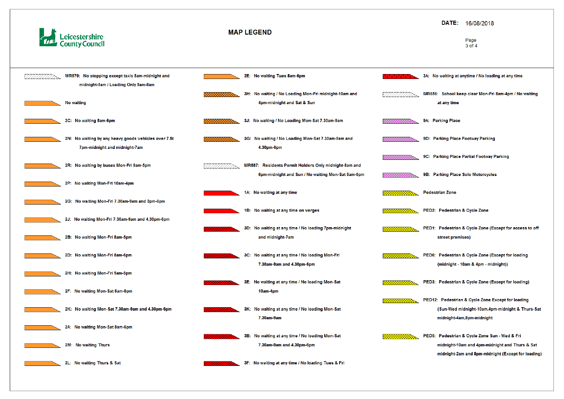



### DATE: 16/08/2018

#### Page 3 of 4

#### 3A: No waiting at anytime / No loading at any time

- MR656: School keep clear Mon-Fri 8am-4pm / No waiting at any time
- 9A: Parking Place
- 9D: Parking Place Footway Parking
- 9C: Parking Place Partial Footway Parking
- 9B: Parking Place Solo Motorcycles

#### **Pedestrian Zone**

- PED2: Pedestrian & Cycle Zone
- PED1: Pedestrian & Cycle Zone (Except for access to off street premises)
- PED6: Pedestrian & Cycle Zone (Except for loading (midnight - 10am & 4pm - midnight))
- PED3: Pedestrian & Cycle Zone (Except for loading)
- PED12: Pedestrian & Cycle Zone Except for loading (Sun-Wed midnight-10am,4pm-midnight & Thurs-Sat midnight-4am,8pm-midnight
- PED5: Pedestrian & Cycle Zone Sun Wed & Fri midnight-10am and 4pm-midnight and Thurs & Sat midnight-2am and 8pm-midnight (Except for loading)